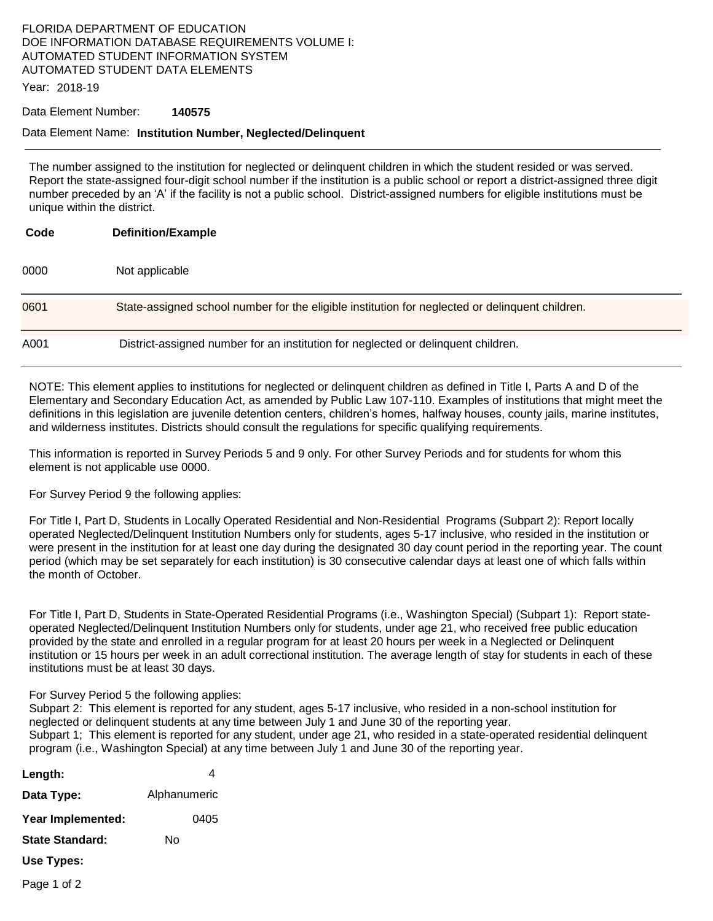# FLORIDA DEPARTMENT OF EDUCATION DOE INFORMATION DATABASE REQUIREMENTS VOLUME I: AUTOMATED STUDENT INFORMATION SYSTEM AUTOMATED STUDENT DATA ELEMENTS

Year: 2018-19

#### Data Element Number: **140575**

#### Data Element Name: **Institution Number, Neglected/Delinquent**

The number assigned to the institution for neglected or delinquent children in which the student resided or was served. Report the state-assigned four-digit school number if the institution is a public school or report a district-assigned three digit number preceded by an 'A' if the facility is not a public school. District-assigned numbers for eligible institutions must be unique within the district.

| Code | <b>Definition/Example</b>                                                                       |
|------|-------------------------------------------------------------------------------------------------|
| 0000 | Not applicable                                                                                  |
| 0601 | State-assigned school number for the eligible institution for neglected or delinquent children. |
| A001 | District-assigned number for an institution for neglected or delinguent children.               |

NOTE: This element applies to institutions for neglected or delinquent children as defined in Title I, Parts A and D of the Elementary and Secondary Education Act, as amended by Public Law 107-110. Examples of institutions that might meet the definitions in this legislation are juvenile detention centers, children's homes, halfway houses, county jails, marine institutes, and wilderness institutes. Districts should consult the regulations for specific qualifying requirements.

This information is reported in Survey Periods 5 and 9 only. For other Survey Periods and for students for whom this element is not applicable use 0000.

For Survey Period 9 the following applies:

For Title I, Part D, Students in Locally Operated Residential and Non-Residential Programs (Subpart 2): Report locally operated Neglected/Delinquent Institution Numbers only for students, ages 5-17 inclusive, who resided in the institution or were present in the institution for at least one day during the designated 30 day count period in the reporting year. The count period (which may be set separately for each institution) is 30 consecutive calendar days at least one of which falls within the month of October.

For Title I, Part D, Students in State-Operated Residential Programs (i.e., Washington Special) (Subpart 1): Report stateoperated Neglected/Delinquent Institution Numbers only for students, under age 21, who received free public education provided by the state and enrolled in a regular program for at least 20 hours per week in a Neglected or Delinquent institution or 15 hours per week in an adult correctional institution. The average length of stay for students in each of these institutions must be at least 30 days.

For Survey Period 5 the following applies:

Subpart 2: This element is reported for any student, ages 5-17 inclusive, who resided in a non-school institution for neglected or delinquent students at any time between July 1 and June 30 of the reporting year. Subpart 1; This element is reported for any student, under age 21, who resided in a state-operated residential delinquent program (i.e., Washington Special) at any time between July 1 and June 30 of the reporting year.

- Length: **Data Type:** Alphanumeric **Year Implemented:** 0405 **State Standard:** No **Use Types:**
- Page 1 of 2